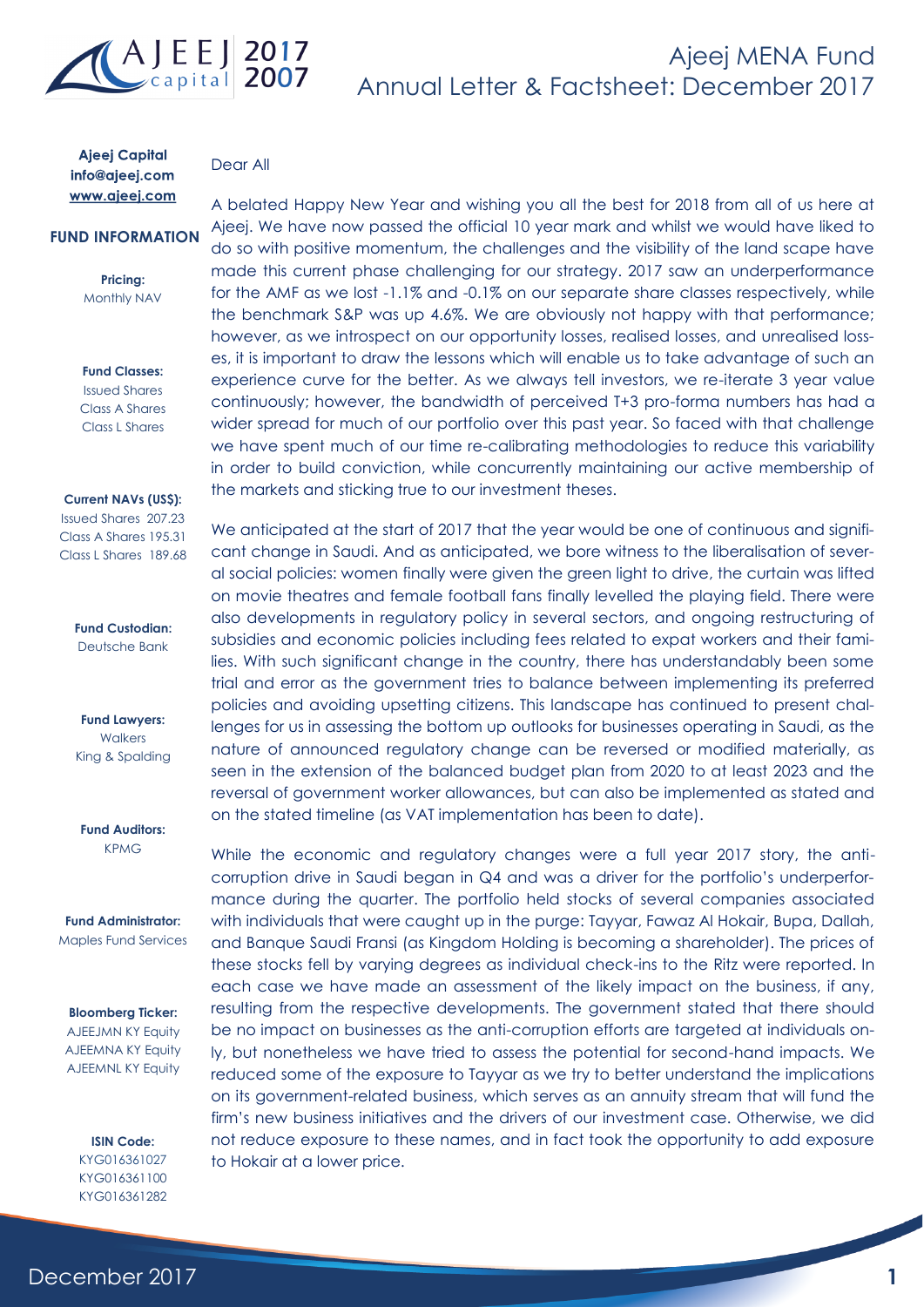

Dear All

## **Ajeej Capital** info@ajeej.com www.ajeej.com

## **FUND INFORMATION**

**Pricing:** Monthly NAV

#### **Fund Classes:**

Issued Shares Class A Shares Class L Shares

#### **Current NAVs (US\$):**

Issued Shares 207.23 Class A Shares 195.31 Class L Shares 189.68

> **Fund Custodian:** Deutsche Bank

**Fund Lawyers: Walkers** King & Spalding

**Fund Auditors:** KPMG

**Fund Administrator:** Maples Fund Services

#### **Bloomberg Ticker:**

AJEEJMN KY Equity AJEEMNA KY Equity AJEEMNL KY Equity

#### **ISIN Code:** KYG016361027 KYG016361100 KYG016361282

A belated Happy New Year and wishing you all the best for 2018 from all of us here at Ajeej. We have now passed the official 10 year mark and whilst we would have liked to do so with positive momentum, the challenges and the visibility of the land scape have made this current phase challenging for our strategy. 2017 saw an underperformance for the AMF as we lost -1.1% and -0.1% on our separate share classes respectively, while the benchmark S&P was up 4.6%. We are obviously not happy with that performance; however, as we introspect on our opportunity losses, realised losses, and unrealised losses, it is important to draw the lessons which will enable us to take advantage of such an experience curve for the better. As we always tell investors, we re-iterate 3 year value continuously; however, the bandwidth of perceived T+3 pro-forma numbers has had a wider spread for much of our portfolio over this past year. So faced with that challenge we have spent much of our time re-calibrating methodologies to reduce this variability in order to build conviction, while concurrently maintaining our active membership of the markets and sticking true to our investment theses.

We anticipated at the start of 2017 that the year would be one of continuous and significant change in Saudi. And as anticipated, we bore witness to the liberalisation of several social policies: women finally were given the green light to drive, the curtain was lifted on movie theatres and female football fans finally levelled the playing field. There were also developments in regulatory policy in several sectors, and ongoing restructuring of subsidies and economic policies including fees related to expat workers and their families. With such significant change in the country, there has understandably been some trial and error as the government tries to balance between implementing its preferred policies and avoiding upsetting citizens. This landscape has continued to present challenges for us in assessing the bottom up outlooks for businesses operating in Saudi, as the nature of announced regulatory change can be reversed or modified materially, as seen in the extension of the balanced budget plan from 2020 to at least 2023 and the reversal of government worker allowances, but can also be implemented as stated and on the stated timeline (as VAT implementation has been to date).

While the economic and regulatory changes were a full year 2017 story, the anticorruption drive in Saudi began in Q4 and was a driver for the portfolio's underperformance during the quarter. The portfolio held stocks of several companies associated with individuals that were caught up in the purge: Tayyar, Fawaz Al Hokair, Bupa, Dallah, and Banque Saudi Fransi (as Kingdom Holding is becoming a shareholder). The prices of these stocks fell by varying degrees as individual check-ins to the Ritz were reported. In each case we have made an assessment of the likely impact on the business, if any, resulting from the respective developments. The government stated that there should be no impact on businesses as the anti-corruption efforts are targeted at individuals only, but nonetheless we have tried to assess the potential for second-hand impacts. We reduced some of the exposure to Tayyar as we try to better understand the implications on its government-related business, which serves as an annuity stream that will fund the firm's new business initiatives and the drivers of our investment case. Otherwise, we did not reduce exposure to these names, and in fact took the opportunity to add exposure to Hokair at a lower price.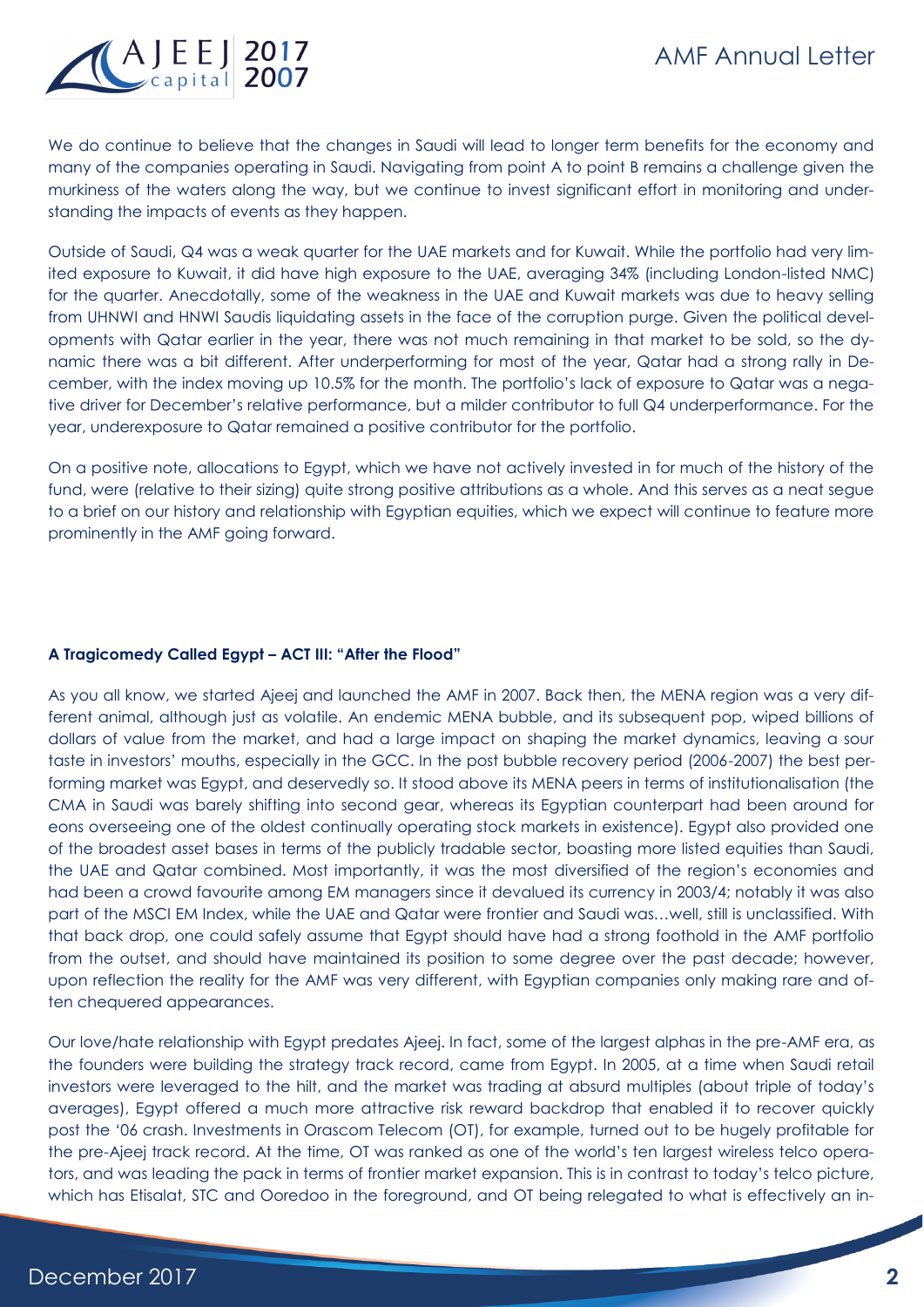# AMF Annual Letter



We do continue to believe that the changes in Saudi will lead to longer term benefits for the economy and many of the companies operating in Saudi. Navigating from point A to point B remains a challenge given the murkiness of the waters along the way, but we continue to invest significant effort in monitoring and understanding the impacts of events as they happen.

Outside of Saudi, Q4 was a weak quarter for the UAE markets and for Kuwait. While the portfolio had very limited exposure to Kuwait, it did have high exposure to the UAE, averaging 34% (including London-listed NMC) for the quarter. Anecdotally, some of the weakness in the UAE and Kuwait markets was due to heavy selling from UHNWI and HNWI Saudis liquidating assets in the face of the corruption purge. Given the political developments with Qatar earlier in the year, there was not much remaining in that market to be sold, so the dynamic there was a bit different. After underperforming for most of the year, Qatar had a strong rally in December, with the index moving up 10.5% for the month. The portfolio's lack of exposure to Qatar was a negative driver for December's relative performance, but a milder contributor to full Q4 underperformance. For the year, underexposure to Qatar remained a positive contributor for the portfolio.

On a positive note, allocations to Egypt, which we have not actively invested in for much of the history of the fund, were (relative to their sizing) quite strong positive attributions as a whole. And this serves as a neat segue to a brief on our history and relationship with Egyptian equities, which we expect will continue to feature more prominently in the AMF going forward.

# **A Tragicomedy Called Egypt – ACT III: "After the Flood"**

As you all know, we started Ajeej and launched the AMF in 2007. Back then, the MENA region was a very different animal, although just as volatile. An endemic MENA bubble, and its subsequent pop, wiped billions of dollars of value from the market, and had a large impact on shaping the market dynamics, leaving a sour taste in investors' mouths, especially in the GCC. In the post bubble recovery period (2006-2007) the best performing market was Egypt, and deservedly so. It stood above its MENA peers in terms of institutionalisation (the CMA in Saudi was barely shifting into second gear, whereas its Egyptian counterpart had been around for eons overseeing one of the oldest continually operating stock markets in existence). Egypt also provided one of the broadest asset bases in terms of the publicly tradable sector, boasting more listed equities than Saudi, the UAE and Qatar combined. Most importantly, it was the most diversified of the region's economies and had been a crowd favourite among EM managers since it devalued its currency in 2003/4; notably it was also part of the MSCI EM Index, while the UAE and Qatar were frontier and Saudi was…well, still is unclassified. With that back drop, one could safely assume that Egypt should have had a strong foothold in the AMF portfolio from the outset, and should have maintained its position to some degree over the past decade; however, upon reflection the reality for the AMF was very different, with Egyptian companies only making rare and often chequered appearances.

Our love/hate relationship with Egypt predates Ajeej. In fact, some of the largest alphas in the pre-AMF era, as the founders were building the strategy track record, came from Egypt. In 2005, at a time when Saudi retail investors were leveraged to the hilt, and the market was trading at absurd multiples (about triple of today's averages), Egypt offered a much more attractive risk reward backdrop that enabled it to recover quickly post the '06 crash. Investments in Orascom Telecom (OT), for example, turned out to be hugely profitable for the pre-Ajeej track record. At the time, OT was ranked as one of the world's ten largest wireless telco operators, and was leading the pack in terms of frontier market expansion. This is in contrast to today's telco picture, which has Etisalat, STC and Ooredoo in the foreground, and OT being relegated to what is effectively an in-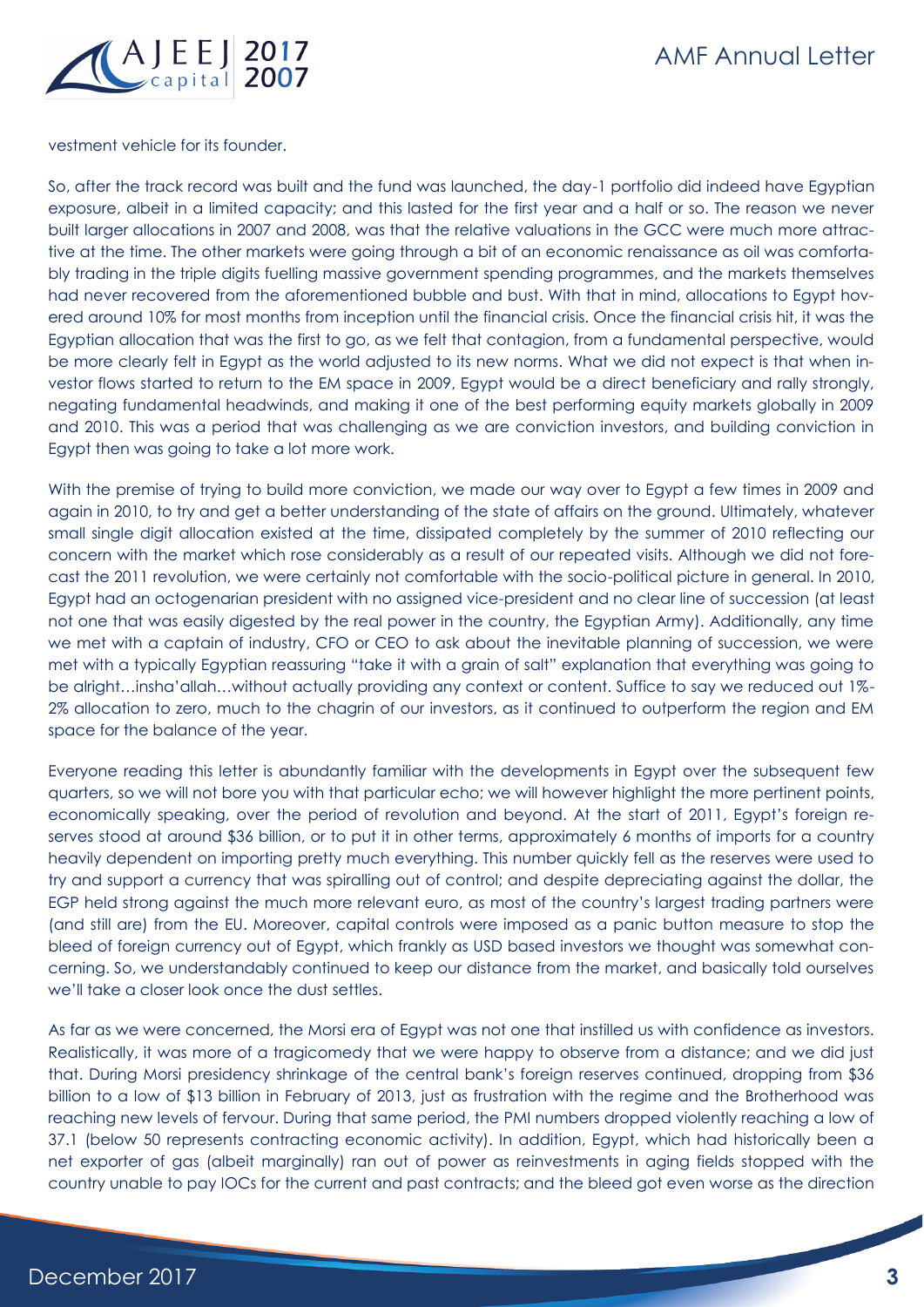

vestment vehicle for its founder.

So, after the track record was built and the fund was launched, the day-1 portfolio did indeed have Egyptian exposure, albeit in a limited capacity; and this lasted for the first year and a half or so. The reason we never built larger allocations in 2007 and 2008, was that the relative valuations in the GCC were much more attractive at the time. The other markets were going through a bit of an economic renaissance as oil was comfortably trading in the triple digits fuelling massive government spending programmes, and the markets themselves had never recovered from the aforementioned bubble and bust. With that in mind, allocations to Egypt hovered around 10% for most months from inception until the financial crisis. Once the financial crisis hit, it was the Egyptian allocation that was the first to go, as we felt that contagion, from a fundamental perspective, would be more clearly felt in Egypt as the world adjusted to its new norms. What we did not expect is that when investor flows started to return to the EM space in 2009, Egypt would be a direct beneficiary and rally strongly, negating fundamental headwinds, and making it one of the best performing equity markets globally in 2009 and 2010. This was a period that was challenging as we are conviction investors, and building conviction in Egypt then was going to take a lot more work.

With the premise of trying to build more conviction, we made our way over to Egypt a few times in 2009 and again in 2010, to try and get a better understanding of the state of affairs on the ground. Ultimately, whatever small single digit allocation existed at the time, dissipated completely by the summer of 2010 reflecting our concern with the market which rose considerably as a result of our repeated visits. Although we did not forecast the 2011 revolution, we were certainly not comfortable with the socio-political picture in general. In 2010, Egypt had an octogenarian president with no assigned vice-president and no clear line of succession (at least not one that was easily digested by the real power in the country, the Egyptian Army). Additionally, any time we met with a captain of industry, CFO or CEO to ask about the inevitable planning of succession, we were met with a typically Egyptian reassuring "take it with a grain of salt" explanation that everything was going to be alright…insha'allah…without actually providing any context or content. Suffice to say we reduced out 1%- 2% allocation to zero, much to the chagrin of our investors, as it continued to outperform the region and EM space for the balance of the year.

Everyone reading this letter is abundantly familiar with the developments in Egypt over the subsequent few quarters, so we will not bore you with that particular echo; we will however highlight the more pertinent points, economically speaking, over the period of revolution and beyond. At the start of 2011, Egypt's foreign reserves stood at around \$36 billion, or to put it in other terms, approximately 6 months of imports for a country heavily dependent on importing pretty much everything. This number quickly fell as the reserves were used to try and support a currency that was spiralling out of control; and despite depreciating against the dollar, the EGP held strong against the much more relevant euro, as most of the country's largest trading partners were (and still are) from the EU. Moreover, capital controls were imposed as a panic button measure to stop the bleed of foreign currency out of Egypt, which frankly as USD based investors we thought was somewhat concerning. So, we understandably continued to keep our distance from the market, and basically told ourselves we'll take a closer look once the dust settles.

As far as we were concerned, the Morsi era of Egypt was not one that instilled us with confidence as investors. Realistically, it was more of a tragicomedy that we were happy to observe from a distance; and we did just that. During Morsi presidency shrinkage of the central bank's foreign reserves continued, dropping from \$36 billion to a low of \$13 billion in February of 2013, just as frustration with the regime and the Brotherhood was reaching new levels of fervour. During that same period, the PMI numbers dropped violently reaching a low of 37.1 (below 50 represents contracting economic activity). In addition, Egypt, which had historically been a net exporter of gas (albeit marginally) ran out of power as reinvestments in aging fields stopped with the country unable to pay IOCs for the current and past contracts; and the bleed got even worse as the direction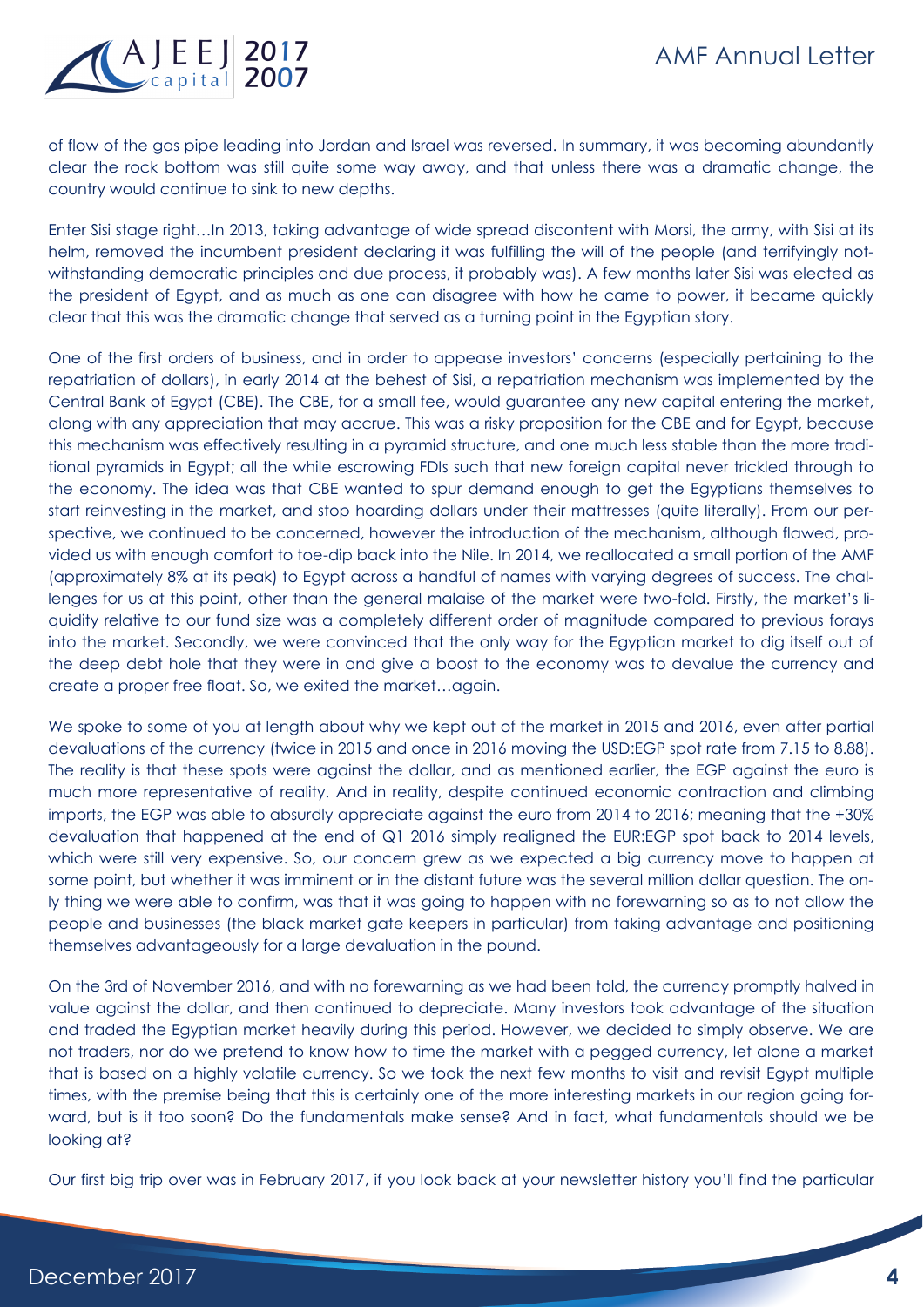

of flow of the gas pipe leading into Jordan and Israel was reversed. In summary, it was becoming abundantly clear the rock bottom was still quite some way away, and that unless there was a dramatic change, the country would continue to sink to new depths.

Enter Sisi stage right…In 2013, taking advantage of wide spread discontent with Morsi, the army, with Sisi at its helm, removed the incumbent president declaring it was fulfilling the will of the people (and terrifyingly notwithstanding democratic principles and due process, it probably was). A few months later Sisi was elected as the president of Egypt, and as much as one can disagree with how he came to power, it became quickly clear that this was the dramatic change that served as a turning point in the Egyptian story.

One of the first orders of business, and in order to appease investors' concerns (especially pertaining to the repatriation of dollars), in early 2014 at the behest of Sisi, a repatriation mechanism was implemented by the Central Bank of Egypt (CBE). The CBE, for a small fee, would guarantee any new capital entering the market, along with any appreciation that may accrue. This was a risky proposition for the CBE and for Egypt, because this mechanism was effectively resulting in a pyramid structure, and one much less stable than the more traditional pyramids in Egypt; all the while escrowing FDIs such that new foreign capital never trickled through to the economy. The idea was that CBE wanted to spur demand enough to get the Egyptians themselves to start reinvesting in the market, and stop hoarding dollars under their mattresses (quite literally). From our perspective, we continued to be concerned, however the introduction of the mechanism, although flawed, provided us with enough comfort to toe-dip back into the Nile. In 2014, we reallocated a small portion of the AMF (approximately 8% at its peak) to Egypt across a handful of names with varying degrees of success. The challenges for us at this point, other than the general malaise of the market were two-fold. Firstly, the market's liquidity relative to our fund size was a completely different order of magnitude compared to previous forays into the market. Secondly, we were convinced that the only way for the Egyptian market to dig itself out of the deep debt hole that they were in and give a boost to the economy was to devalue the currency and create a proper free float. So, we exited the market…again.

We spoke to some of you at length about why we kept out of the market in 2015 and 2016, even after partial devaluations of the currency (twice in 2015 and once in 2016 moving the USD:EGP spot rate from 7.15 to 8.88). The reality is that these spots were against the dollar, and as mentioned earlier, the EGP against the euro is much more representative of reality. And in reality, despite continued economic contraction and climbing imports, the EGP was able to absurdly appreciate against the euro from 2014 to 2016; meaning that the +30% devaluation that happened at the end of Q1 2016 simply realigned the EUR:EGP spot back to 2014 levels, which were still very expensive. So, our concern grew as we expected a big currency move to happen at some point, but whether it was imminent or in the distant future was the several million dollar question. The only thing we were able to confirm, was that it was going to happen with no forewarning so as to not allow the people and businesses (the black market gate keepers in particular) from taking advantage and positioning themselves advantageously for a large devaluation in the pound.

On the 3rd of November 2016, and with no forewarning as we had been told, the currency promptly halved in value against the dollar, and then continued to depreciate. Many investors took advantage of the situation and traded the Egyptian market heavily during this period. However, we decided to simply observe. We are not traders, nor do we pretend to know how to time the market with a pegged currency, let alone a market that is based on a highly volatile currency. So we took the next few months to visit and revisit Egypt multiple times, with the premise being that this is certainly one of the more interesting markets in our region going forward, but is it too soon? Do the fundamentals make sense? And in fact, what fundamentals should we be looking at?

Our first big trip over was in February 2017, if you look back at your newsletter history you'll find the particular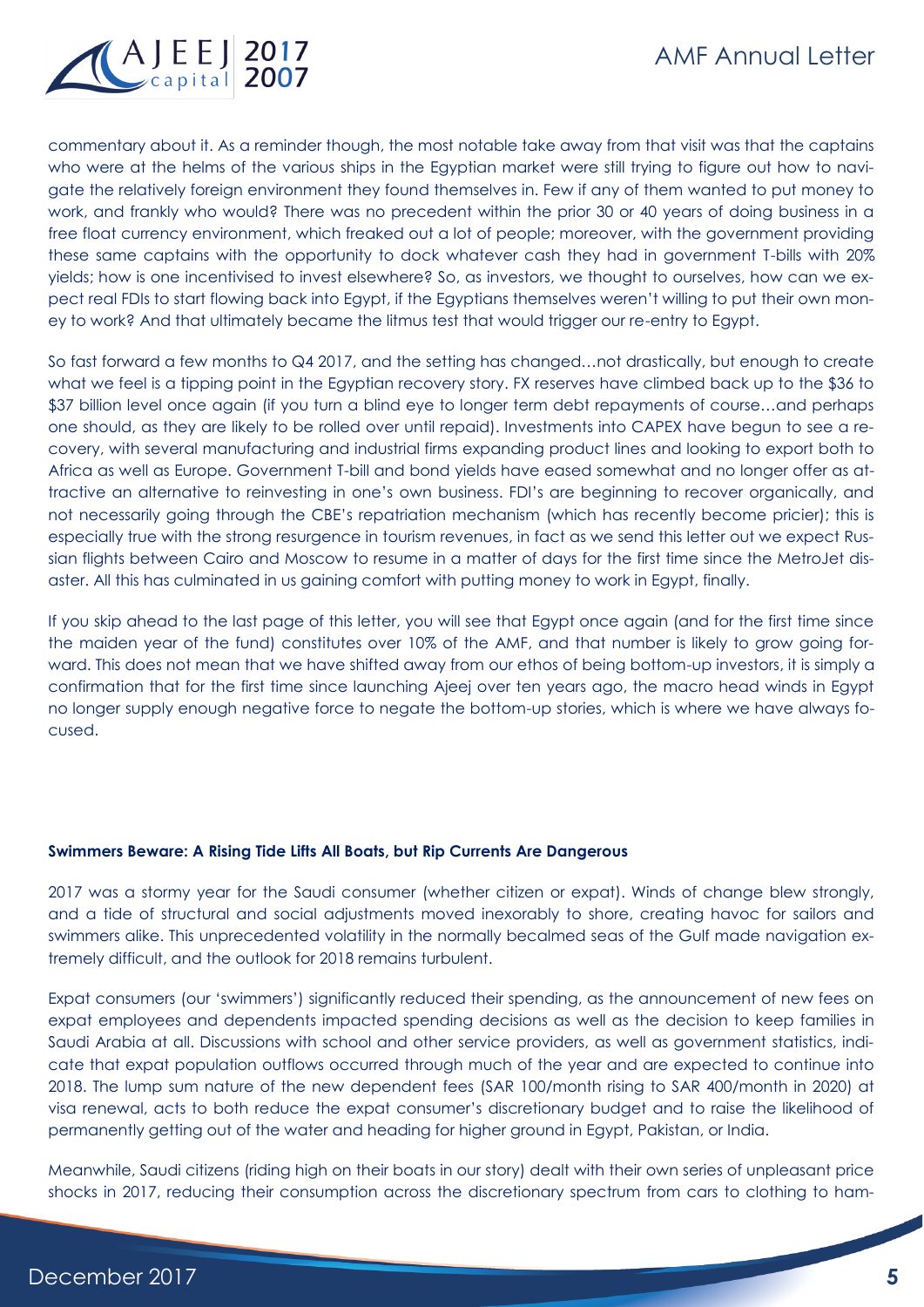

commentary about it. As a reminder though, the most notable take away from that visit was that the captains who were at the helms of the various ships in the Egyptian market were still trying to figure out how to navigate the relatively foreign environment they found themselves in. Few if any of them wanted to put money to work, and frankly who would? There was no precedent within the prior 30 or 40 years of doing business in a free float currency environment, which freaked out a lot of people; moreover, with the government providing these same captains with the opportunity to dock whatever cash they had in government T-bills with 20% yields; how is one incentivised to invest elsewhere? So, as investors, we thought to ourselves, how can we expect real FDIs to start flowing back into Egypt, if the Egyptians themselves weren't willing to put their own money to work? And that ultimately became the litmus test that would trigger our re-entry to Egypt.

So fast forward a few months to Q4 2017, and the setting has changed…not drastically, but enough to create what we feel is a tipping point in the Egyptian recovery story. FX reserves have climbed back up to the \$36 to \$37 billion level once again (if you turn a blind eye to longer term debt repayments of course…and perhaps one should, as they are likely to be rolled over until repaid). Investments into CAPEX have begun to see a recovery, with several manufacturing and industrial firms expanding product lines and looking to export both to Africa as well as Europe. Government T-bill and bond yields have eased somewhat and no longer offer as attractive an alternative to reinvesting in one's own business. FDI's are beginning to recover organically, and not necessarily going through the CBE's repatriation mechanism (which has recently become pricier); this is especially true with the strong resurgence in tourism revenues, in fact as we send this letter out we expect Russian flights between Cairo and Moscow to resume in a matter of days for the first time since the MetroJet disaster. All this has culminated in us gaining comfort with putting money to work in Egypt, finally.

If you skip ahead to the last page of this letter, you will see that Egypt once again (and for the first time since the maiden year of the fund) constitutes over 10% of the AMF, and that number is likely to grow going forward. This does not mean that we have shifted away from our ethos of being bottom-up investors, it is simply a confirmation that for the first time since launching Ajeej over ten years ago, the macro head winds in Egypt no longer supply enough negative force to negate the bottom-up stories, which is where we have always focused.

### **Swimmers Beware: A Rising Tide Lifts All Boats, but Rip Currents Are Dangerous**

2017 was a stormy year for the Saudi consumer (whether citizen or expat). Winds of change blew strongly, and a tide of structural and social adjustments moved inexorably to shore, creating havoc for sailors and swimmers alike. This unprecedented volatility in the normally becalmed seas of the Gulf made navigation extremely difficult, and the outlook for 2018 remains turbulent.

Expat consumers (our 'swimmers') significantly reduced their spending, as the announcement of new fees on expat employees and dependents impacted spending decisions as well as the decision to keep families in Saudi Arabia at all. Discussions with school and other service providers, as well as government statistics, indicate that expat population outflows occurred through much of the year and are expected to continue into 2018. The lump sum nature of the new dependent fees (SAR 100/month rising to SAR 400/month in 2020) at visa renewal, acts to both reduce the expat consumer's discretionary budget and to raise the likelihood of permanently getting out of the water and heading for higher ground in Egypt, Pakistan, or India.

Meanwhile, Saudi citizens (riding high on their boats in our story) dealt with their own series of unpleasant price shocks in 2017, reducing their consumption across the discretionary spectrum from cars to clothing to ham-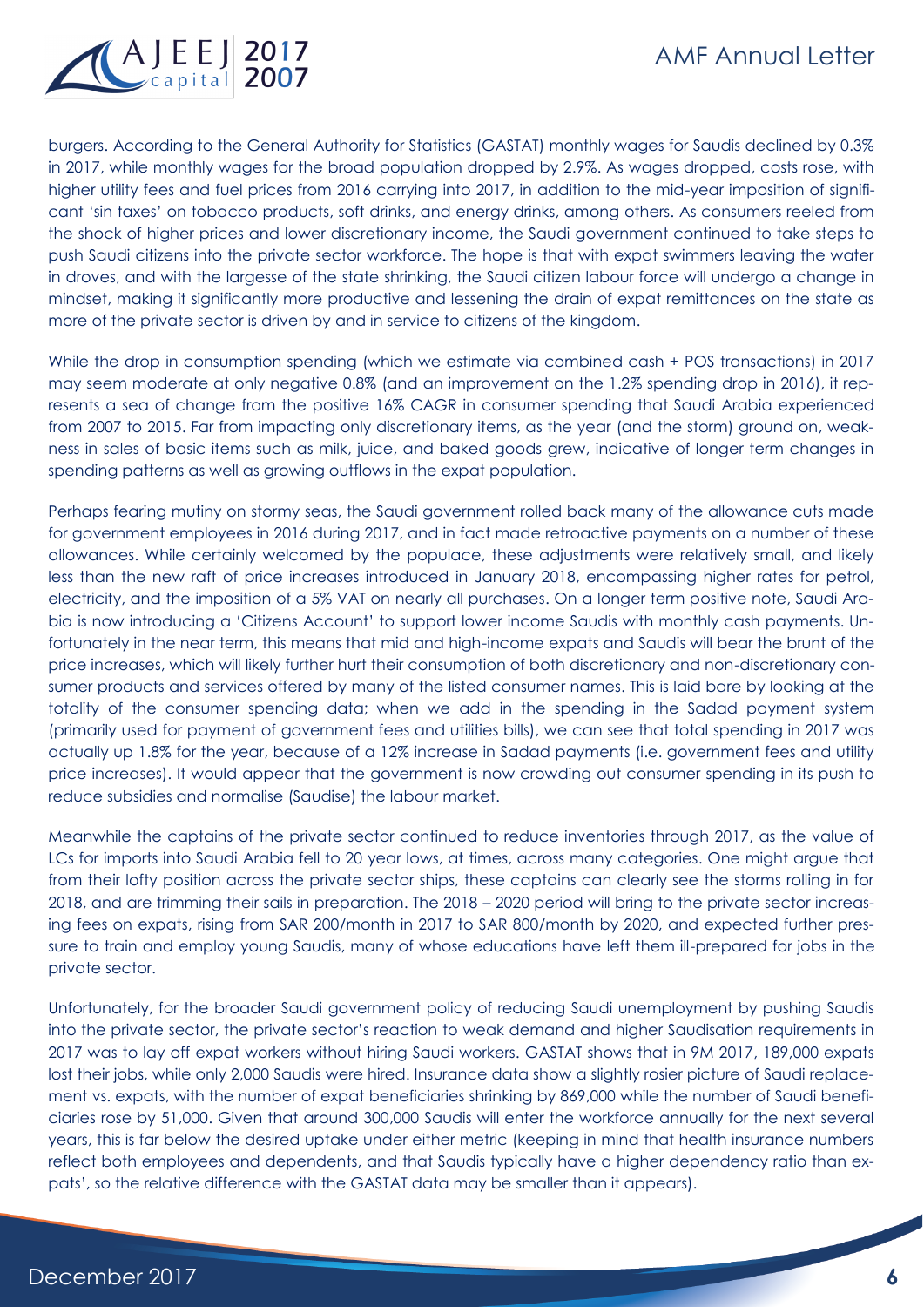

burgers. According to the General Authority for Statistics (GASTAT) monthly wages for Saudis declined by 0.3% in 2017, while monthly wages for the broad population dropped by 2.9%. As wages dropped, costs rose, with higher utility fees and fuel prices from 2016 carrying into 2017, in addition to the mid-year imposition of significant 'sin taxes' on tobacco products, soft drinks, and energy drinks, among others. As consumers reeled from the shock of higher prices and lower discretionary income, the Saudi government continued to take steps to push Saudi citizens into the private sector workforce. The hope is that with expat swimmers leaving the water in droves, and with the largesse of the state shrinking, the Saudi citizen labour force will undergo a change in mindset, making it significantly more productive and lessening the drain of expat remittances on the state as more of the private sector is driven by and in service to citizens of the kingdom.

While the drop in consumption spending (which we estimate via combined cash + POS transactions) in 2017 may seem moderate at only negative 0.8% (and an improvement on the 1.2% spending drop in 2016), it represents a sea of change from the positive 16% CAGR in consumer spending that Saudi Arabia experienced from 2007 to 2015. Far from impacting only discretionary items, as the year (and the storm) ground on, weakness in sales of basic items such as milk, juice, and baked goods grew, indicative of longer term changes in spending patterns as well as growing outflows in the expat population.

Perhaps fearing mutiny on stormy seas, the Saudi government rolled back many of the allowance cuts made for government employees in 2016 during 2017, and in fact made retroactive payments on a number of these allowances. While certainly welcomed by the populace, these adjustments were relatively small, and likely less than the new raft of price increases introduced in January 2018, encompassing higher rates for petrol, electricity, and the imposition of a 5% VAT on nearly all purchases. On a longer term positive note, Saudi Arabia is now introducing a 'Citizens Account' to support lower income Saudis with monthly cash payments. Unfortunately in the near term, this means that mid and high-income expats and Saudis will bear the brunt of the price increases, which will likely further hurt their consumption of both discretionary and non-discretionary consumer products and services offered by many of the listed consumer names. This is laid bare by looking at the totality of the consumer spending data; when we add in the spending in the Sadad payment system (primarily used for payment of government fees and utilities bills), we can see that total spending in 2017 was actually up 1.8% for the year, because of a 12% increase in Sadad payments (i.e. government fees and utility price increases). It would appear that the government is now crowding out consumer spending in its push to reduce subsidies and normalise (Saudise) the labour market.

Meanwhile the captains of the private sector continued to reduce inventories through 2017, as the value of LCs for imports into Saudi Arabia fell to 20 year lows, at times, across many categories. One might argue that from their lofty position across the private sector ships, these captains can clearly see the storms rolling in for 2018, and are trimming their sails in preparation. The 2018 – 2020 period will bring to the private sector increasing fees on expats, rising from SAR 200/month in 2017 to SAR 800/month by 2020, and expected further pressure to train and employ young Saudis, many of whose educations have left them ill-prepared for jobs in the private sector.

Unfortunately, for the broader Saudi government policy of reducing Saudi unemployment by pushing Saudis into the private sector, the private sector's reaction to weak demand and higher Saudisation requirements in 2017 was to lay off expat workers without hiring Saudi workers. GASTAT shows that in 9M 2017, 189,000 expats lost their jobs, while only 2,000 Saudis were hired. Insurance data show a slightly rosier picture of Saudi replacement vs. expats, with the number of expat beneficiaries shrinking by 869,000 while the number of Saudi beneficiaries rose by 51,000. Given that around 300,000 Saudis will enter the workforce annually for the next several years, this is far below the desired uptake under either metric (keeping in mind that health insurance numbers reflect both employees and dependents, and that Saudis typically have a higher dependency ratio than expats', so the relative difference with the GASTAT data may be smaller than it appears).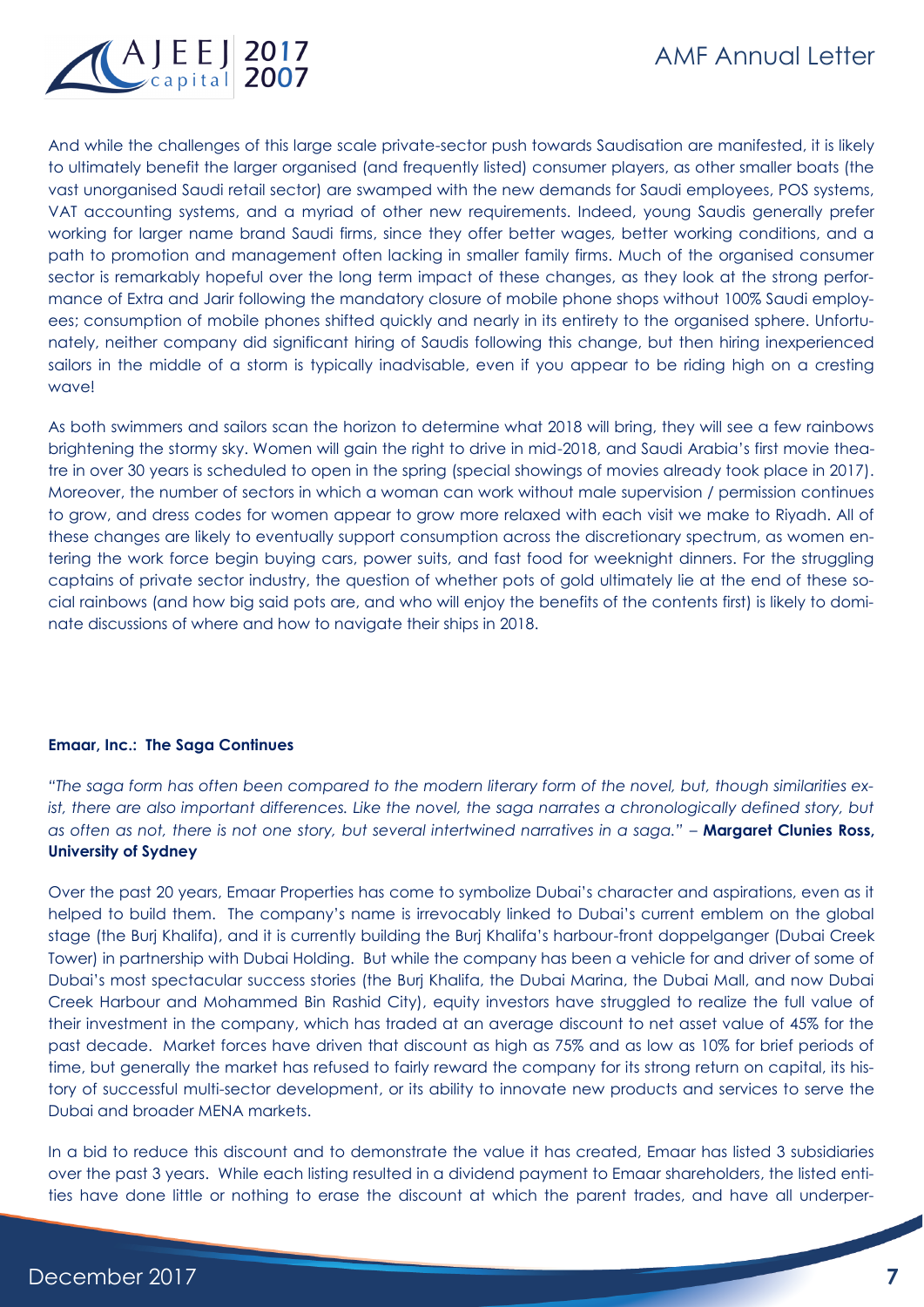

And while the challenges of this large scale private-sector push towards Saudisation are manifested, it is likely to ultimately benefit the larger organised (and frequently listed) consumer players, as other smaller boats (the vast unorganised Saudi retail sector) are swamped with the new demands for Saudi employees, POS systems, VAT accounting systems, and a myriad of other new requirements. Indeed, young Saudis generally prefer working for larger name brand Saudi firms, since they offer better wages, better working conditions, and a path to promotion and management often lacking in smaller family firms. Much of the organised consumer sector is remarkably hopeful over the long term impact of these changes, as they look at the strong performance of Extra and Jarir following the mandatory closure of mobile phone shops without 100% Saudi employees; consumption of mobile phones shifted quickly and nearly in its entirety to the organised sphere. Unfortunately, neither company did significant hiring of Saudis following this change, but then hiring inexperienced sailors in the middle of a storm is typically inadvisable, even if you appear to be riding high on a cresting wave!

As both swimmers and sailors scan the horizon to determine what 2018 will bring, they will see a few rainbows brightening the stormy sky. Women will gain the right to drive in mid-2018, and Saudi Arabia's first movie theatre in over 30 years is scheduled to open in the spring (special showings of movies already took place in 2017). Moreover, the number of sectors in which a woman can work without male supervision / permission continues to grow, and dress codes for women appear to grow more relaxed with each visit we make to Riyadh. All of these changes are likely to eventually support consumption across the discretionary spectrum, as women entering the work force begin buying cars, power suits, and fast food for weeknight dinners. For the struggling captains of private sector industry, the question of whether pots of gold ultimately lie at the end of these social rainbows (and how big said pots are, and who will enjoy the benefits of the contents first) is likely to dominate discussions of where and how to navigate their ships in 2018.

# **Emaar, Inc.: The Saga Continues**

*"The saga form has often been compared to the modern literary form of the novel, but, though similarities exist, there are also important differences. Like the novel, the saga narrates a chronologically defined story, but as often as not, there is not one story, but several intertwined narratives in a saga." –* **Margaret Clunies Ross, University of Sydney**

Over the past 20 years, Emaar Properties has come to symbolize Dubai's character and aspirations, even as it helped to build them. The company's name is irrevocably linked to Dubai's current emblem on the global stage (the Burj Khalifa), and it is currently building the Burj Khalifa's harbour-front doppelganger (Dubai Creek Tower) in partnership with Dubai Holding. But while the company has been a vehicle for and driver of some of Dubai's most spectacular success stories (the Burj Khalifa, the Dubai Marina, the Dubai Mall, and now Dubai Creek Harbour and Mohammed Bin Rashid City), equity investors have struggled to realize the full value of their investment in the company, which has traded at an average discount to net asset value of 45% for the past decade. Market forces have driven that discount as high as 75% and as low as 10% for brief periods of time, but generally the market has refused to fairly reward the company for its strong return on capital, its history of successful multi-sector development, or its ability to innovate new products and services to serve the Dubai and broader MENA markets.

In a bid to reduce this discount and to demonstrate the value it has created, Emaar has listed 3 subsidiaries over the past 3 years. While each listing resulted in a dividend payment to Emaar shareholders, the listed entities have done little or nothing to erase the discount at which the parent trades, and have all underper-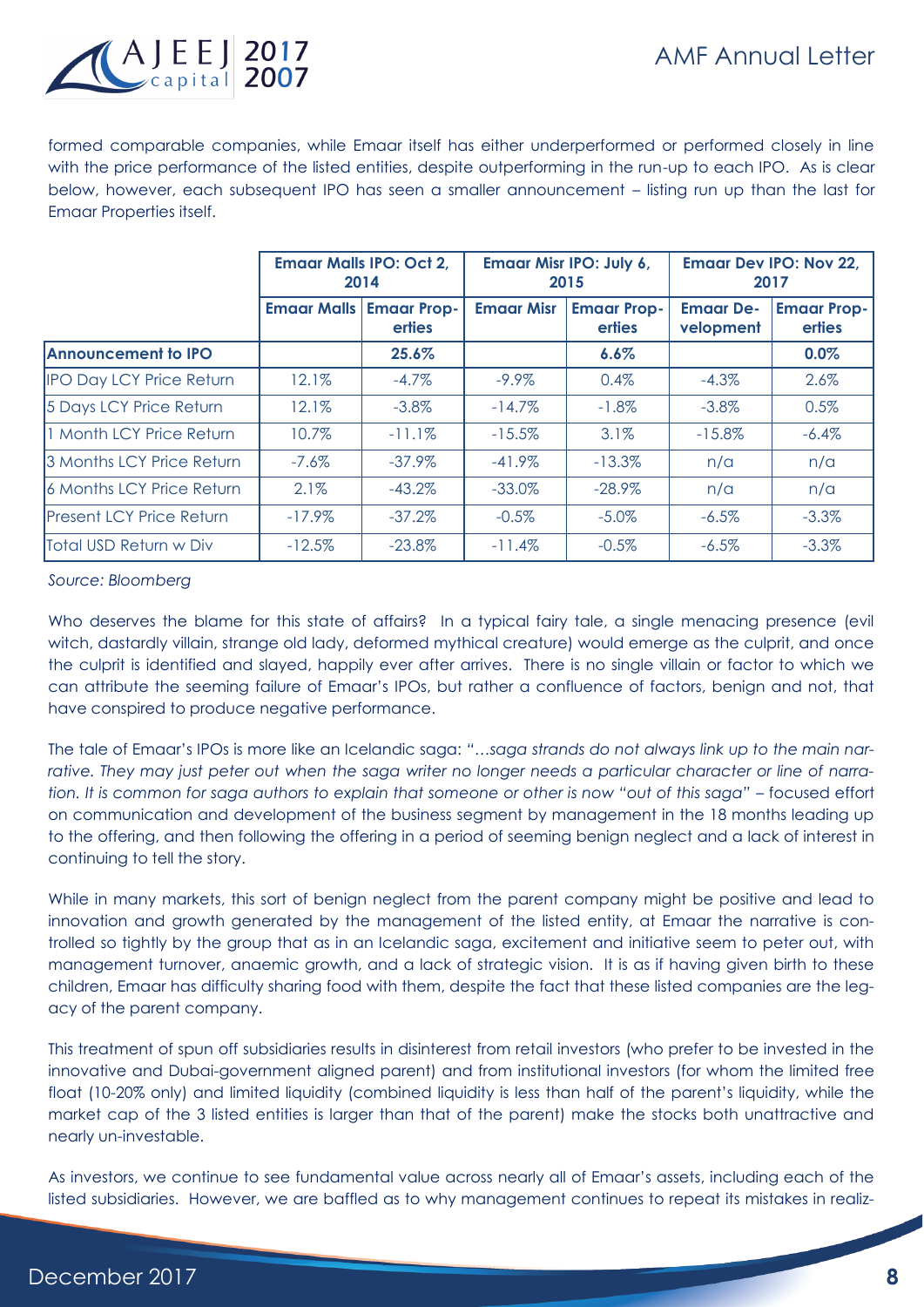

formed comparable companies, while Emaar itself has either underperformed or performed closely in line with the price performance of the listed entities, despite outperforming in the run-up to each IPO. As is clear below, however, each subsequent IPO has seen a smaller announcement – listing run up than the last for Emaar Properties itself.

|                                 | <b>Emaar Malls IPO: Oct 2.</b><br>2014 |                                     | Emaar Misr IPO: July 6,<br>2015 |                              | <b>Emaar Dev IPO: Nov 22,</b><br>2017 |                              |
|---------------------------------|----------------------------------------|-------------------------------------|---------------------------------|------------------------------|---------------------------------------|------------------------------|
|                                 | <b>Emaar Malls</b>                     | <b>Emaar Prop-</b><br><b>erties</b> | <b>Emaar Misr</b>               | <b>Emaar Prop-</b><br>erties | <b>Emaar De-</b><br>velopment         | <b>Emaar Prop-</b><br>erties |
| <b>Announcement to IPO</b>      |                                        | 25.6%                               |                                 | 6.6%                         |                                       | 0.0%                         |
| <b>IPO Day LCY Price Return</b> | 12.1%                                  | $-4.7\%$                            | $-9.9\%$                        | 0.4%                         | $-4.3\%$                              | 2.6%                         |
| 5 Days LCY Price Return         | 12.1%                                  | $-3.8\%$                            | $-14.7\%$                       | $-1.8\%$                     | $-3.8\%$                              | 0.5%                         |
| 1 Month LCY Price Return        | 10.7%                                  | $-11.1%$                            | $-15.5%$                        | 3.1%                         | $-15.8%$                              | $-6.4%$                      |
| 3 Months LCY Price Return       | $-7.6%$                                | $-37.9%$                            | $-41.9%$                        | $-13.3%$                     | n/a                                   | n/a                          |
| 6 Months LCY Price Return       | 2.1%                                   | $-43.2\%$                           | $-33.0\%$                       | $-28.9\%$                    | n/a                                   | n/a                          |
| <b>Present LCY Price Return</b> | $-17.9\%$                              | $-37.2%$                            | $-0.5%$                         | $-5.0\%$                     | $-6.5\%$                              | $-3.3%$                      |
| Total USD Return w Div          | $-12.5%$                               | $-23.8\%$                           | $-11.4%$                        | $-0.5%$                      | $-6.5\%$                              | $-3.3%$                      |

*Source: Bloomberg*

Who deserves the blame for this state of affairs? In a typical fairy tale, a single menacing presence (evil) witch, dastardly villain, strange old lady, deformed mythical creature) would emerge as the culprit, and once the culprit is identified and slayed, happily ever after arrives. There is no single villain or factor to which we can attribute the seeming failure of Emaar's IPOs, but rather a confluence of factors, benign and not, that have conspired to produce negative performance.

The tale of Emaar's IPOs is more like an Icelandic saga: *"…saga strands do not always link up to the main narrative. They may just peter out when the saga writer no longer needs a particular character or line of narration. It is common for saga authors to explain that someone or other is now "out of this saga"* – focused effort on communication and development of the business segment by management in the 18 months leading up to the offering, and then following the offering in a period of seeming benign neglect and a lack of interest in continuing to tell the story.

While in many markets, this sort of benign neglect from the parent company might be positive and lead to innovation and growth generated by the management of the listed entity, at Emaar the narrative is controlled so tightly by the group that as in an Icelandic saga, excitement and initiative seem to peter out, with management turnover, anaemic growth, and a lack of strategic vision. It is as if having given birth to these children, Emaar has difficulty sharing food with them, despite the fact that these listed companies are the legacy of the parent company.

This treatment of spun off subsidiaries results in disinterest from retail investors (who prefer to be invested in the innovative and Dubai-government aligned parent) and from institutional investors (for whom the limited free float (10-20% only) and limited liquidity (combined liquidity is less than half of the parent's liquidity, while the market cap of the 3 listed entities is larger than that of the parent) make the stocks both unattractive and nearly un-investable.

As investors, we continue to see fundamental value across nearly all of Emaar's assets, including each of the listed subsidiaries. However, we are baffled as to why management continues to repeat its mistakes in realiz-